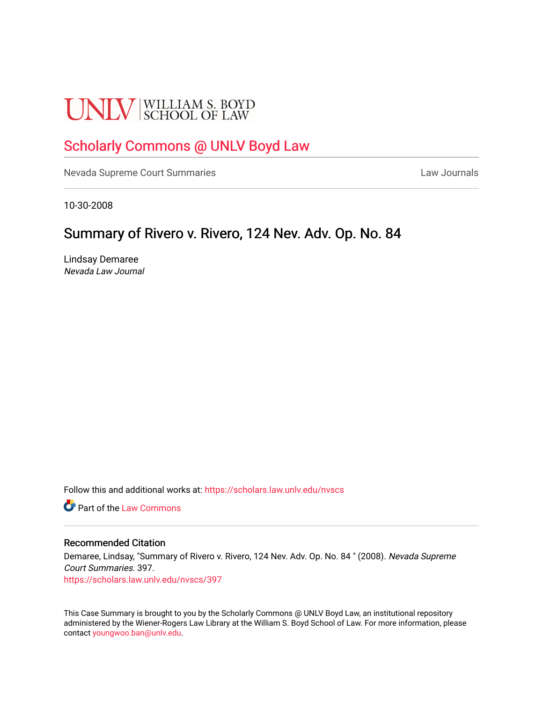# **UNLV** SCHOOL OF LAW

# [Scholarly Commons @ UNLV Boyd Law](https://scholars.law.unlv.edu/)

[Nevada Supreme Court Summaries](https://scholars.law.unlv.edu/nvscs) **Law Journals** Law Journals

10-30-2008

# Summary of Rivero v. Rivero, 124 Nev. Adv. Op. No. 84

Lindsay Demaree Nevada Law Journal

Follow this and additional works at: [https://scholars.law.unlv.edu/nvscs](https://scholars.law.unlv.edu/nvscs?utm_source=scholars.law.unlv.edu%2Fnvscs%2F397&utm_medium=PDF&utm_campaign=PDFCoverPages)

**C** Part of the [Law Commons](http://network.bepress.com/hgg/discipline/578?utm_source=scholars.law.unlv.edu%2Fnvscs%2F397&utm_medium=PDF&utm_campaign=PDFCoverPages)

## Recommended Citation

Demaree, Lindsay, "Summary of Rivero v. Rivero, 124 Nev. Adv. Op. No. 84 " (2008). Nevada Supreme Court Summaries. 397. [https://scholars.law.unlv.edu/nvscs/397](https://scholars.law.unlv.edu/nvscs/397?utm_source=scholars.law.unlv.edu%2Fnvscs%2F397&utm_medium=PDF&utm_campaign=PDFCoverPages)

This Case Summary is brought to you by the Scholarly Commons @ UNLV Boyd Law, an institutional repository administered by the Wiener-Rogers Law Library at the William S. Boyd School of Law. For more information, please contact [youngwoo.ban@unlv.edu](mailto:youngwoo.ban@unlv.edu).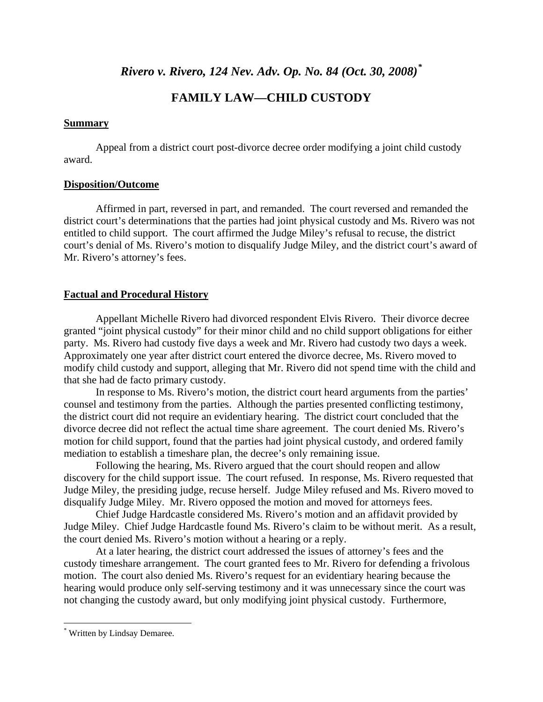*Rivero v. Rivero, 124 Nev. Adv. Op. No. 84 (Oct. 30, 2008)[\\*](#page-1-0)*

# **FAMILY LAW—CHILD CUSTODY**

# **Summary**

Appeal from a district court post-divorce decree order modifying a joint child custody award.

# **Disposition/Outcome**

Affirmed in part, reversed in part, and remanded. The court reversed and remanded the district court's determinations that the parties had joint physical custody and Ms. Rivero was not entitled to child support. The court affirmed the Judge Miley's refusal to recuse, the district court's denial of Ms. Rivero's motion to disqualify Judge Miley, and the district court's award of Mr. Rivero's attorney's fees.

# **Factual and Procedural History**

 Appellant Michelle Rivero had divorced respondent Elvis Rivero. Their divorce decree granted "joint physical custody" for their minor child and no child support obligations for either party. Ms. Rivero had custody five days a week and Mr. Rivero had custody two days a week. Approximately one year after district court entered the divorce decree, Ms. Rivero moved to modify child custody and support, alleging that Mr. Rivero did not spend time with the child and that she had de facto primary custody.

 In response to Ms. Rivero's motion, the district court heard arguments from the parties' counsel and testimony from the parties. Although the parties presented conflicting testimony, the district court did not require an evidentiary hearing. The district court concluded that the divorce decree did not reflect the actual time share agreement. The court denied Ms. Rivero's motion for child support, found that the parties had joint physical custody, and ordered family mediation to establish a timeshare plan, the decree's only remaining issue.

 Following the hearing, Ms. Rivero argued that the court should reopen and allow discovery for the child support issue. The court refused. In response, Ms. Rivero requested that Judge Miley, the presiding judge, recuse herself. Judge Miley refused and Ms. Rivero moved to disqualify Judge Miley. Mr. Rivero opposed the motion and moved for attorneys fees.

Chief Judge Hardcastle considered Ms. Rivero's motion and an affidavit provided by Judge Miley. Chief Judge Hardcastle found Ms. Rivero's claim to be without merit. As a result, the court denied Ms. Rivero's motion without a hearing or a reply.

At a later hearing, the district court addressed the issues of attorney's fees and the custody timeshare arrangement. The court granted fees to Mr. Rivero for defending a frivolous motion. The court also denied Ms. Rivero's request for an evidentiary hearing because the hearing would produce only self-serving testimony and it was unnecessary since the court was not changing the custody award, but only modifying joint physical custody. Furthermore,

<span id="page-1-0"></span><sup>\*</sup> Written by Lindsay Demaree.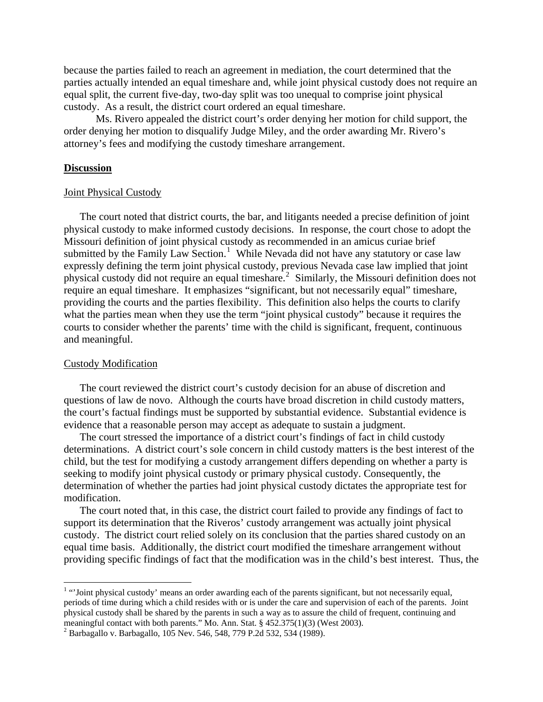because the parties failed to reach an agreement in mediation, the court determined that the parties actually intended an equal timeshare and, while joint physical custody does not require an equal split, the current five-day, two-day split was too unequal to comprise joint physical custody. As a result, the district court ordered an equal timeshare.

Ms. Rivero appealed the district court's order denying her motion for child support, the order denying her motion to disqualify Judge Miley, and the order awarding Mr. Rivero's attorney's fees and modifying the custody timeshare arrangement.

#### **Discussion**

#### Joint Physical Custody

The court noted that district courts, the bar, and litigants needed a precise definition of joint physical custody to make informed custody decisions. In response, the court chose to adopt the Missouri definition of joint physical custody as recommended in an amicus curiae brief submitted by the Family Law Section.<sup>[1](#page-2-0)</sup> While Nevada did not have any statutory or case law expressly defining the term joint physical custody, previous Nevada case law implied that joint physical custody did not require an equal timeshare.<sup>[2](#page-2-1)</sup> Similarly, the Missouri definition does not require an equal timeshare. It emphasizes "significant, but not necessarily equal" timeshare, providing the courts and the parties flexibility. This definition also helps the courts to clarify what the parties mean when they use the term "joint physical custody" because it requires the courts to consider whether the parents' time with the child is significant, frequent, continuous and meaningful.

## Custody Modification

The court reviewed the district court's custody decision for an abuse of discretion and questions of law de novo. Although the courts have broad discretion in child custody matters, the court's factual findings must be supported by substantial evidence. Substantial evidence is evidence that a reasonable person may accept as adequate to sustain a judgment.

The court stressed the importance of a district court's findings of fact in child custody determinations. A district court's sole concern in child custody matters is the best interest of the child, but the test for modifying a custody arrangement differs depending on whether a party is seeking to modify joint physical custody or primary physical custody. Consequently, the determination of whether the parties had joint physical custody dictates the appropriate test for modification.

The court noted that, in this case, the district court failed to provide any findings of fact to support its determination that the Riveros' custody arrangement was actually joint physical custody. The district court relied solely on its conclusion that the parties shared custody on an equal time basis. Additionally, the district court modified the timeshare arrangement without providing specific findings of fact that the modification was in the child's best interest. Thus, the

<span id="page-2-0"></span> $1$ <sup>1</sup> "Joint physical custody' means an order awarding each of the parents significant, but not necessarily equal, periods of time during which a child resides with or is under the care and supervision of each of the parents. Joint physical custody shall be shared by the parents in such a way as to assure the child of frequent, continuing and meaningful contact with both parents." Mo. Ann. Stat. § 452.375(1)(3) (West 2003).

<span id="page-2-1"></span><sup>&</sup>lt;sup>2</sup> Barbagallo v. Barbagallo, 105 Nev. 546, 548, 779 P.2d 532, 534 (1989).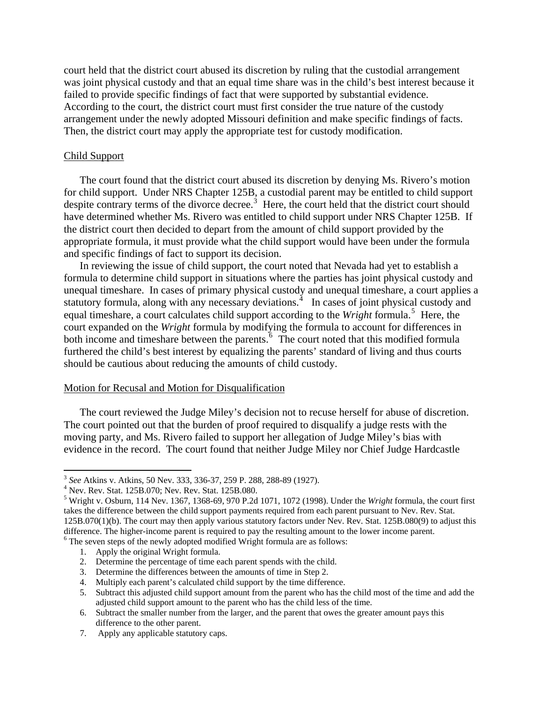court held that the district court abused its discretion by ruling that the custodial arrangement was joint physical custody and that an equal time share was in the child's best interest because it failed to provide specific findings of fact that were supported by substantial evidence. According to the court, the district court must first consider the true nature of the custody arrangement under the newly adopted Missouri definition and make specific findings of facts. Then, the district court may apply the appropriate test for custody modification.

## Child Support

The court found that the district court abused its discretion by denying Ms. Rivero's motion for child support. Under NRS Chapter 125B, a custodial parent may be entitled to child support despite contrary terms of the divorce decree.<sup>[3](#page-3-0)</sup> Here, the court held that the district court should have determined whether Ms. Rivero was entitled to child support under NRS Chapter 125B. If the district court then decided to depart from the amount of child support provided by the appropriate formula, it must provide what the child support would have been under the formula and specific findings of fact to support its decision.

In reviewing the issue of child support, the court noted that Nevada had yet to establish a formula to determine child support in situations where the parties has joint physical custody and unequal timeshare. In cases of primary physical custody and unequal timeshare, a court applies a statutory formula, along with any necessary deviations.<sup>[4](#page-3-1)</sup> In cases of joint physical custody and equal timeshare, a court calculates child support according to the *Wright* formula.<sup>[5](#page-3-2)</sup> Here, the court expanded on the *Wright* formula by modifying the formula to account for differences in both income and timeshare between the parents.<sup>[6](#page-3-3)</sup> The court noted that this modified formula furthered the child's best interest by equalizing the parents' standard of living and thus courts should be cautious about reducing the amounts of child custody.

#### Motion for Recusal and Motion for Disqualification

The court reviewed the Judge Miley's decision not to recuse herself for abuse of discretion. The court pointed out that the burden of proof required to disqualify a judge rests with the moving party, and Ms. Rivero failed to support her allegation of Judge Miley's bias with evidence in the record. The court found that neither Judge Miley nor Chief Judge Hardcastle

- 2. Determine the percentage of time each parent spends with the child.
- 3. Determine the differences between the amounts of time in Step 2.
- 4. Multiply each parent's calculated child support by the time difference.

7. Apply any applicable statutory caps.

<span id="page-3-0"></span><sup>3</sup> *See* Atkins v. Atkins, 50 Nev. 333, 336-37, 259 P. 288, 288-89 (1927). 4

<span id="page-3-1"></span>Nev. Rev. Stat. 125B.070; Nev. Rev. Stat. 125B.080.

<span id="page-3-3"></span><span id="page-3-2"></span><sup>5</sup> Wright v. Osburn, 114 Nev. 1367, 1368-69, 970 P.2d 1071, 1072 (1998). Under the *Wright* formula, the court first takes the difference between the child support payments required from each parent pursuant to Nev. Rev. Stat. 125B.070(1)(b). The court may then apply various statutory factors under Nev. Rev. Stat. 125B.080(9) to adjust this difference. The higher-income parent is required to pay the resulting amount to the lower income parent.  $6$  The seven steps of the newly adopted modified Wright formula are as follows:

<sup>1.</sup> Apply the original Wright formula.

<sup>5.</sup> Subtract this adjusted child support amount from the parent who has the child most of the time and add the adjusted child support amount to the parent who has the child less of the time.

<sup>6.</sup> Subtract the smaller number from the larger, and the parent that owes the greater amount pays this difference to the other parent.